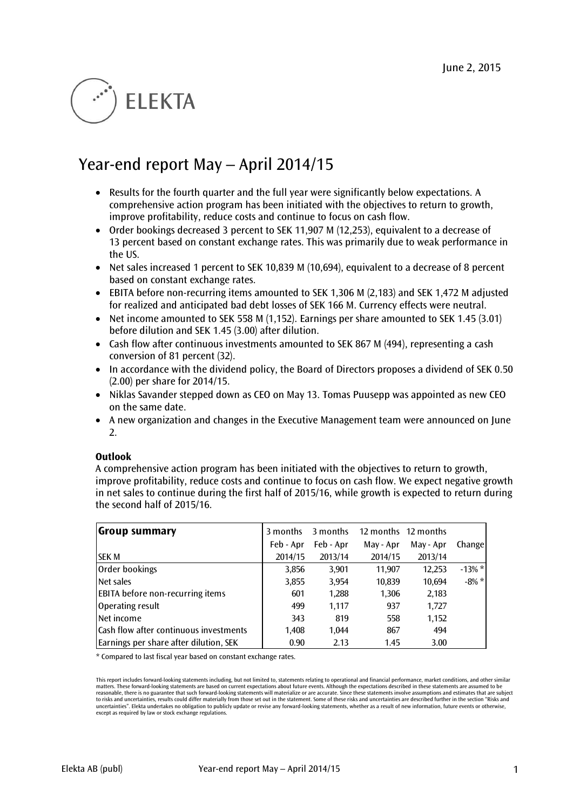# **ELEKTA**

# Year-end report May – April 2014/15

- Results for the fourth quarter and the full year were significantly below expectations. A comprehensive action program has been initiated with the objectives to return to growth, improve profitability, reduce costs and continue to focus on cash flow.
- Order bookings decreased 3 percent to SEK 11,907 M (12,253), equivalent to a decrease of 13 percent based on constant exchange rates. This was primarily due to weak performance in the US.
- Net sales increased 1 percent to SEK 10,839 M (10,694), equivalent to a decrease of 8 percent based on constant exchange rates.
- EBITA before non-recurring items amounted to SEK 1,306 M (2,183) and SEK 1,472 M adjusted for realized and anticipated bad debt losses of SEK 166 M. Currency effects were neutral.
- $\bullet$  Net income amounted to SEK 558 M (1,152). Earnings per share amounted to SEK 1.45 (3.01) before dilution and SEK 1.45 (3.00) after dilution.
- Cash flow after continuous investments amounted to SEK 867 M (494), representing a cash conversion of 81 percent (32).
- In accordance with the dividend policy, the Board of Directors proposes a dividend of SEK 0.50 (2.00) per share for 2014/15.
- $\bullet$  Niklas Savander stepped down as CEO on May 13. Tomas Puusepp was appointed as new CEO on the same date.
- A new organization and changes in the Executive Management team were announced on June 2.

# **Outlook**

A comprehensive action program has been initiated with the objectives to return to growth, improve profitability, reduce costs and continue to focus on cash flow. We expect negative growth in net sales to continue during the first half of 2015/16, while growth is expected to return during the second half of 2015/16.

| <b>Group summary</b>                    | 3 months  | 3 months  |           | 12 months 12 months |          |
|-----------------------------------------|-----------|-----------|-----------|---------------------|----------|
|                                         | Feb - Apr | Feb - Apr | May - Apr | May - Apr           | Change   |
| <b>SEK M</b>                            | 2014/15   | 2013/14   | 2014/15   | 2013/14             |          |
| Order bookings                          | 3,856     | 3,901     | 11,907    | 12,253              | $-13%$ * |
| Net sales                               | 3,855     | 3,954     | 10,839    | 10,694              | $-8\% *$ |
| <b>EBITA</b> before non-recurring items | 601       | 1,288     | 1,306     | 2,183               |          |
| Operating result                        | 499       | 1.117     | 937       | 1,727               |          |
| Net income                              | 343       | 819       | 558       | 1,152               |          |
| Cash flow after continuous investments  | 1.408     | 1.044     | 867       | 494                 |          |
| Earnings per share after dilution, SEK  | 0.90      | 2.13      | 1.45      | 3.00                |          |

\* Compared to last fiscal year based on constant exchange rates.

This report includes forward-looking statements including, but not limited to, statements relating to operational and financial performance, market conditions, and other similar matters. These forward-looking statements are based on current expectations about future events. Although the expectations described in these statements are assumed to be<br>reasonable, there is no guarantee that such forward to risks and uncertainties, results could differ materially from those set out in the statement. Some of these risks and uncertainties are described further in the section "Risks and uncertainties". Elekta undertakes no obligation to publicly update or revise any forward-looking statements, whether as a result of new information, future events or otherwise, except as required by law or stock exchange regulations.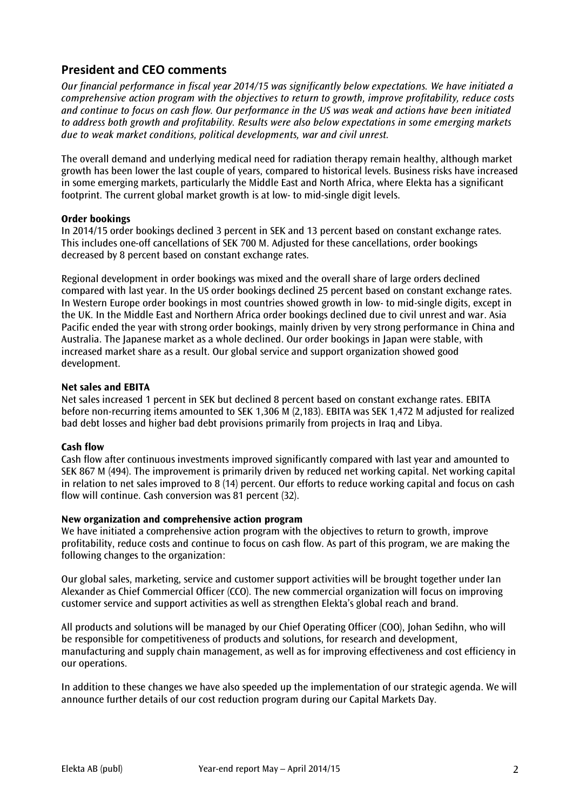# **President and CEO comments**

*Our financial performance in fiscal year 2014/15 was significantly below expectations. We have initiated a comprehensive action program with the objectives to return to growth, improve profitability, reduce costs and continue to focus on cash flow. Our performance in the US was weak and actions have been initiated to address both growth and profitability. Results were also below expectations in some emerging markets due to weak market conditions, political developments, war and civil unrest.*

The overall demand and underlying medical need for radiation therapy remain healthy, although market growth has been lower the last couple of years, compared to historical levels. Business risks have increased in some emerging markets, particularly the Middle East and North Africa, where Elekta has a significant footprint. The current global market growth is at low- to mid-single digit levels.

# **Order bookings**

In 2014/15 order bookings declined 3 percent in SEK and 13 percent based on constant exchange rates. This includes one-off cancellations of SEK 700 M. Adjusted for these cancellations, order bookings decreased by 8 percent based on constant exchange rates.

Regional development in order bookings was mixed and the overall share of large orders declined compared with last year. In the US order bookings declined 25 percent based on constant exchange rates. In Western Europe order bookings in most countries showed growth in low- to mid-single digits, except in the UK. In the Middle East and Northern Africa order bookings declined due to civil unrest and war. Asia Pacific ended the year with strong order bookings, mainly driven by very strong performance in China and Australia. The Japanese market as a whole declined. Our order bookings in Japan were stable, with increased market share as a result. Our global service and support organization showed good development.

# **Net sales and EBITA**

Net sales increased 1 percent in SEK but declined 8 percent based on constant exchange rates. EBITA before non-recurring items amounted to SEK 1,306 M (2,183). EBITA was SEK 1,472 M adjusted for realized bad debt losses and higher bad debt provisions primarily from projects in Iraq and Libya.

#### **Cash flow**

Cash flow after continuous investments improved significantly compared with last year and amounted to SEK 867 M (494). The improvement is primarily driven by reduced net working capital. Net working capital in relation to net sales improved to 8 (14) percent. Our efforts to reduce working capital and focus on cash flow will continue. Cash conversion was 81 percent (32).

# **New organization and comprehensive action program**

We have initiated a comprehensive action program with the objectives to return to growth, improve profitability, reduce costs and continue to focus on cash flow. As part of this program, we are making the following changes to the organization:

Our global sales, marketing, service and customer support activities will be brought together under Ian Alexander as Chief Commercial Officer (CCO). The new commercial organization will focus on improving customer service and support activities as well as strengthen Elekta's global reach and brand.

All products and solutions will be managed by our Chief Operating Officer (COO), Johan Sedihn, who will be responsible for competitiveness of products and solutions, for research and development, manufacturing and supply chain management, as well as for improving effectiveness and cost efficiency in our operations.

In addition to these changes we have also speeded up the implementation of our strategic agenda. We will announce further details of our cost reduction program during our Capital Markets Day.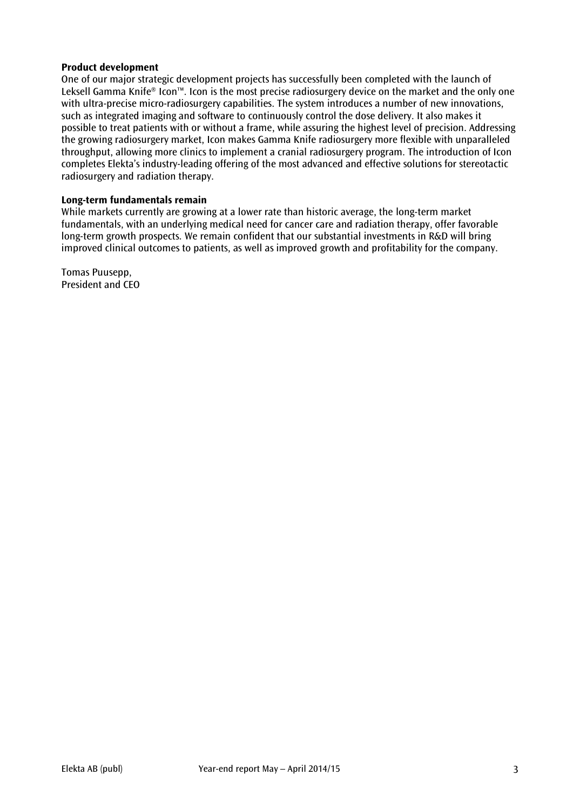#### **Product development**

One of our major strategic development projects has successfully been completed with the launch of Leksell Gamma Knife® Icon™. Icon is the most precise radiosurgery device on the market and the only one with ultra-precise micro-radiosurgery capabilities. The system introduces a number of new innovations, such as integrated imaging and software to continuously control the dose delivery. It also makes it possible to treat patients with or without a frame, while assuring the highest level of precision. Addressing the growing radiosurgery market, Icon makes Gamma Knife radiosurgery more flexible with unparalleled throughput, allowing more clinics to implement a cranial radiosurgery program. The introduction of Icon completes Elekta's industry-leading offering of the most advanced and effective solutions for stereotactic radiosurgery and radiation therapy.

# **Long-term fundamentals remain**

While markets currently are growing at a lower rate than historic average, the long-term market fundamentals, with an underlying medical need for cancer care and radiation therapy, offer favorable long-term growth prospects. We remain confident that our substantial investments in R&D will bring improved clinical outcomes to patients, as well as improved growth and profitability for the company.

Tomas Puusepp, President and CEO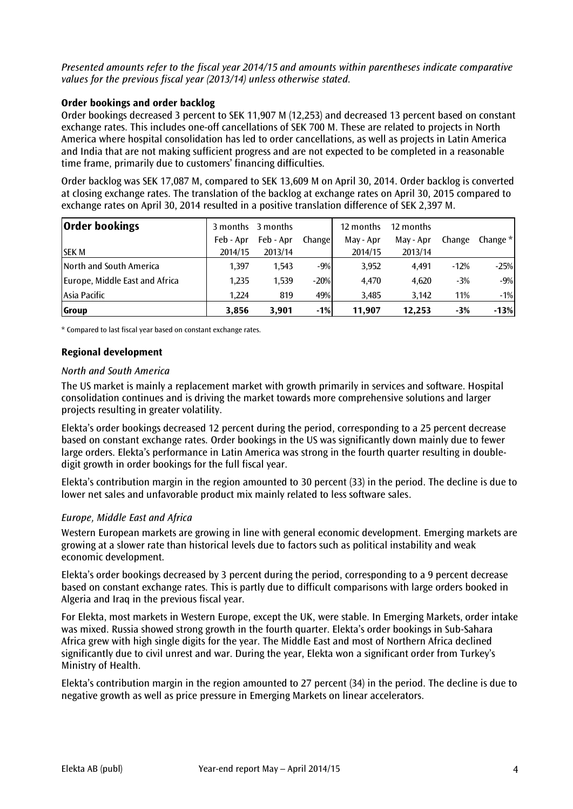*Presented amounts refer to the fiscal year 2014/15 and amounts within parentheses indicate comparative values for the previous fiscal year (2013/14) unless otherwise stated.*

#### **Order bookings and order backlog**

Order bookings decreased 3 percent to SEK 11,907 M (12,253) and decreased 13 percent based on constant exchange rates. This includes one-off cancellations of SEK 700 M. These are related to projects in North America where hospital consolidation has led to order cancellations, as well as projects in Latin America and India that are not making sufficient progress and are not expected to be completed in a reasonable time frame, primarily due to customers' financing difficulties.

Order backlog was SEK 17,087 M, compared to SEK 13,609 M on April 30, 2014. Order backlog is converted at closing exchange rates. The translation of the backlog at exchange rates on April 30, 2015 compared to exchange rates on April 30, 2014 resulted in a positive translation difference of SEK 2,397 M.

| <b>Order bookings</b>          |           | 3 months 3 months |        | 12 months | 12 months |        |            |
|--------------------------------|-----------|-------------------|--------|-----------|-----------|--------|------------|
|                                | Feb - Apr | Feb - Apr         | Change | May - Apr | May - Apr | Change | Change $*$ |
| <b>SEK M</b>                   | 2014/15   | 2013/14           |        | 2014/15   | 2013/14   |        |            |
| <b>North and South America</b> | 1.397     | 1,543             | $-9%$  | 3,952     | 4.491     | $-12%$ | $-25%$     |
| Europe, Middle East and Africa | 1,235     | 1.539             | $-20%$ | 4,470     | 4.620     | $-3%$  | $-9%$      |
| Asia Pacific                   | 1.224     | 819               | 49%    | 3,485     | 3,142     | 11%    | $-1%$      |
| Group                          | 3,856     | 3,901             | $-1%$  | 11.907    | 12.253    | $-3%$  | $-13%$     |

\* Compared to last fiscal year based on constant exchange rates.

# **Regional development**

#### *North and South America*

The US market is mainly a replacement market with growth primarily in services and software. Hospital consolidation continues and is driving the market towards more comprehensive solutions and larger projects resulting in greater volatility.

Elekta's order bookings decreased 12 percent during the period, corresponding to a 25 percent decrease based on constant exchange rates. Order bookings in the US was significantly down mainly due to fewer large orders. Elekta's performance in Latin America was strong in the fourth quarter resulting in doubledigit growth in order bookings for the full fiscal year.

Elekta's contribution margin in the region amounted to 30 percent (33) in the period. The decline is due to lower net sales and unfavorable product mix mainly related to less software sales.

# *Europe, Middle East and Africa*

Western European markets are growing in line with general economic development. Emerging markets are growing at a slower rate than historical levels due to factors such as political instability and weak economic development.

Elekta's order bookings decreased by 3 percent during the period, corresponding to a 9 percent decrease based on constant exchange rates. This is partly due to difficult comparisons with large orders booked in Algeria and Iraq in the previous fiscal year.

For Elekta, most markets in Western Europe, except the UK, were stable. In Emerging Markets, order intake was mixed. Russia showed strong growth in the fourth quarter. Elekta's order bookings in Sub-Sahara Africa grew with high single digits for the year. The Middle East and most of Northern Africa declined significantly due to civil unrest and war. During the year, Elekta won a significant order from Turkey's Ministry of Health.

Elekta's contribution margin in the region amounted to 27 percent (34) in the period. The decline is due to negative growth as well as price pressure in Emerging Markets on linear accelerators.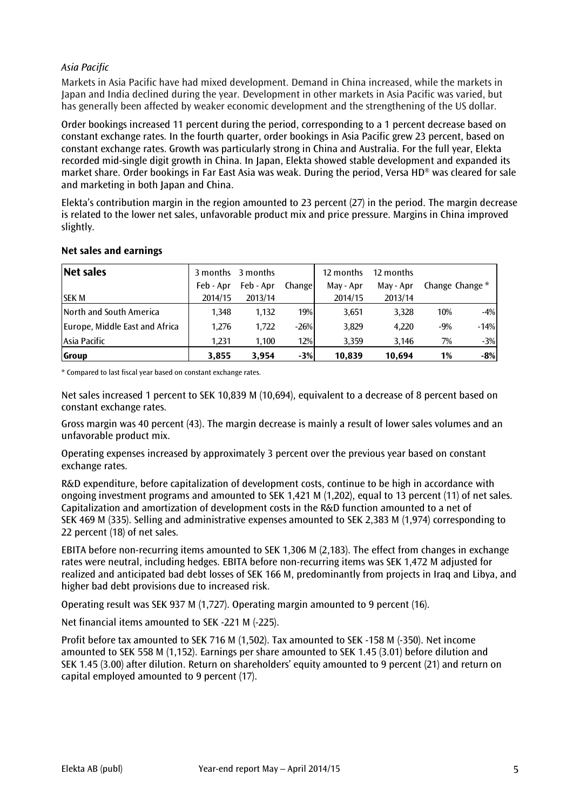# *Asia Pacific*

Markets in Asia Pacific have had mixed development. Demand in China increased, while the markets in Japan and India declined during the year. Development in other markets in Asia Pacific was varied, but has generally been affected by weaker economic development and the strengthening of the US dollar.

Order bookings increased 11 percent during the period, corresponding to a 1 percent decrease based on constant exchange rates. In the fourth quarter, order bookings in Asia Pacific grew 23 percent, based on constant exchange rates. Growth was particularly strong in China and Australia. For the full year, Elekta recorded mid-single digit growth in China. In Japan, Elekta showed stable development and expanded its market share. Order bookings in Far East Asia was weak. During the period, Versa HD® was cleared for sale and marketing in both Japan and China.

Elekta's contribution margin in the region amounted to 23 percent (27) in the period. The margin decrease is related to the lower net sales, unfavorable product mix and price pressure. Margins in China improved slightly.

| Net sales                      |           | 3 months 3 months |            | 12 months | 12 months |       |                 |
|--------------------------------|-----------|-------------------|------------|-----------|-----------|-------|-----------------|
|                                | Feb - Apr | Feb - Apr         | Changel    | May - Apr | May - Apr |       | Change Change * |
| <b>SEK M</b>                   | 2014/15   | 2013/14           |            | 2014/15   | 2013/14   |       |                 |
| North and South America        | 1.348     | 1,132             | <b>19%</b> | 3,651     | 3,328     | 10%   | $-4%$           |
| Europe, Middle East and Africa | 1.276     | 1.722             | $-26%$     | 3,829     | 4.220     | $-9%$ | $-14%$          |
| lAsia Pacific                  | 1.231     | 1,100             | 12%        | 3,359     | 3.146     | 7%    | $-3%$           |
| Group                          | 3,855     | 3,954             | $-3%$      | 10,839    | 10.694    | 1%    | $-8%$           |

# **Net sales and earnings**

\* Compared to last fiscal year based on constant exchange rates.

Net sales increased 1 percent to SEK 10,839 M (10,694), equivalent to a decrease of 8 percent based on constant exchange rates.

Gross margin was 40 percent (43). The margin decrease is mainly a result of lower sales volumes and an unfavorable product mix.

Operating expenses increased by approximately 3 percent over the previous year based on constant exchange rates.

R&D expenditure, before capitalization of development costs, continue to be high in accordance with ongoing investment programs and amounted to SEK 1,421 M (1,202), equal to 13 percent (11) of net sales. Capitalization and amortization of development costs in the R&D function amounted to a net of SEK 469 M (335). Selling and administrative expenses amounted to SEK 2,383 M (1,974) corresponding to 22 percent (18) of net sales.

EBITA before non-recurring items amounted to SEK 1,306 M (2,183). The effect from changes in exchange rates were neutral, including hedges. EBITA before non-recurring items was SEK 1,472 M adjusted for realized and anticipated bad debt losses of SEK 166 M, predominantly from projects in Iraq and Libya, and higher bad debt provisions due to increased risk.

Operating result was SEK 937 M (1,727). Operating margin amounted to 9 percent (16).

Net financial items amounted to SEK -221 M (-225).

Profit before tax amounted to SEK 716 M (1,502). Tax amounted to SEK -158 M (-350). Net income amounted to SEK 558 M (1,152). Earnings per share amounted to SEK 1.45 (3.01) before dilution and SEK 1.45 (3.00) after dilution. Return on shareholders' equity amounted to 9 percent (21) and return on capital employed amounted to 9 percent (17).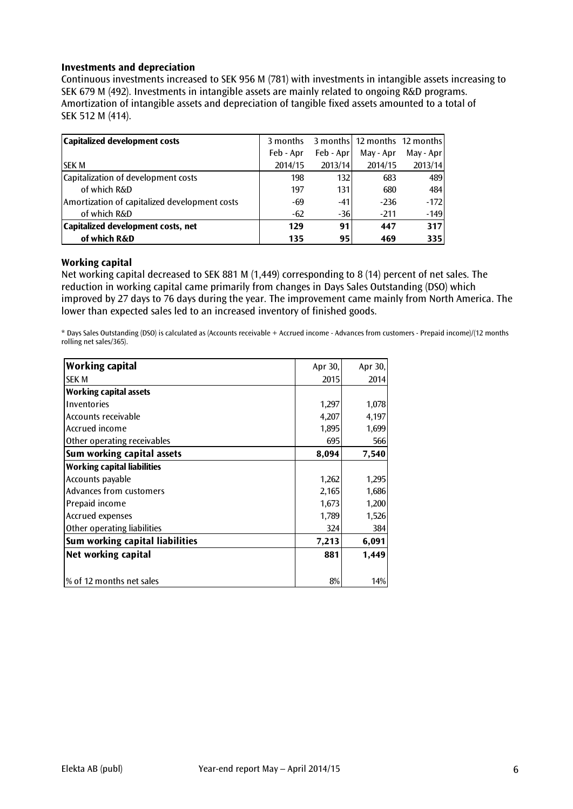# **Investments and depreciation**

Continuous investments increased to SEK 956 M (781) with investments in intangible assets increasing to SEK 679 M (492). Investments in intangible assets are mainly related to ongoing R&D programs. Amortization of intangible assets and depreciation of tangible fixed assets amounted to a total of SEK 512 M (414).

| Capitalized development costs                 | 3 months  |           | 3 months 12 months 12 months |           |
|-----------------------------------------------|-----------|-----------|------------------------------|-----------|
|                                               | Feb - Apr | Feb - Apr | May - Apr                    | May - Apr |
| ISEK M                                        | 2014/15   | 2013/14   | 2014/15                      | 2013/14   |
| Capitalization of development costs           | 198       | 132       | 683                          | 489       |
| of which R&D                                  | 197       | 131       | 680                          | 484 l     |
| Amortization of capitalized development costs | -69       | $-41$     | $-236$                       | $-172$    |
| of which R&D                                  | $-62$     | $-36$     | $-211$                       | $-149$    |
| Capitalized development costs, net            | 129       | 91        | 447                          | 317       |
| of which R&D                                  | 135       | 95        | 469                          | 335       |

# **Working capital**

Net working capital decreased to SEK 881 M (1,449) corresponding to 8 (14) percent of net sales. The reduction in working capital came primarily from changes in Days Sales Outstanding (DSO) which improved by 27 days to 76 days during the year. The improvement came mainly from North America. The lower than expected sales led to an increased inventory of finished goods.

\* Days Sales Outstanding (DSO) is calculated as (Accounts receivable + Accrued income - Advances from customers - Prepaid income)/(12 months rolling net sales/365).

| <b>Working capital</b>             | Apr 30, | Apr 30, |
|------------------------------------|---------|---------|
| <b>SEK M</b>                       | 2015    | 2014    |
| <b>Working capital assets</b>      |         |         |
| <b>Inventories</b>                 | 1,297   | 1,078   |
| Accounts receivable                | 4,207   | 4,197   |
| Accrued income                     | 1,895   | 1,699   |
| Other operating receivables        | 695     | 566     |
| Sum working capital assets         | 8,094   | 7,540   |
| <b>Working capital liabilities</b> |         |         |
| Accounts payable                   | 1,262   | 1,295   |
| Advances from customers            | 2,165   | 1,686   |
| Prepaid income                     | 1,673   | 1,200   |
| Accrued expenses                   | 1,789   | 1,526   |
| Other operating liabilities        | 324     | 384     |
| Sum working capital liabilities    | 7,213   | 6,091   |
| Net working capital                | 881     | 1,449   |
| % of 12 months net sales           | 8%      | 14%     |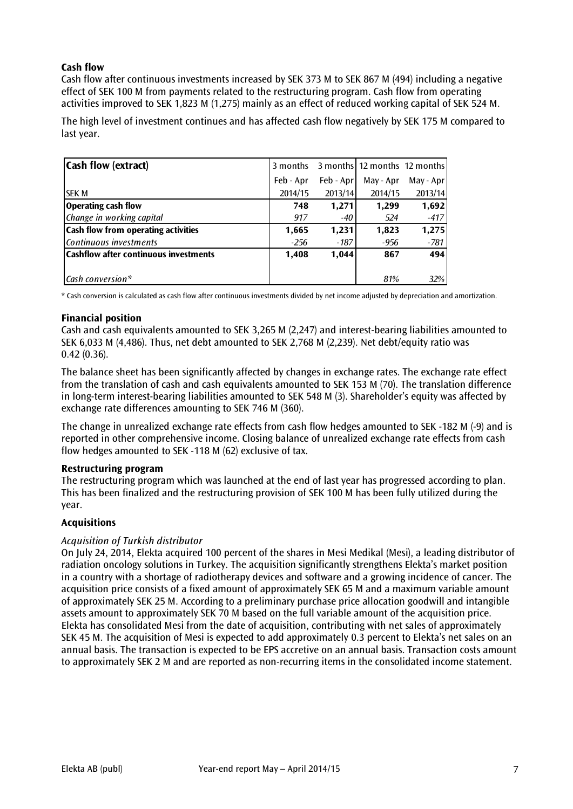# **Cash flow**

Cash flow after continuous investments increased by SEK 373 M to SEK 867 M (494) including a negative effect of SEK 100 M from payments related to the restructuring program. Cash flow from operating activities improved to SEK 1,823 M (1,275) mainly as an effect of reduced working capital of SEK 524 M.

The high level of investment continues and has affected cash flow negatively by SEK 175 M compared to last year.

| <b>Cash flow (extract)</b>                   | 3 months  |           | 3 months   12 months 12 months |           |
|----------------------------------------------|-----------|-----------|--------------------------------|-----------|
|                                              | Feb - Apr | Feb - Apr | May - Apr                      | May - Apr |
| <b>ISEK M</b>                                | 2014/15   | 2013/14   | 2014/15                        | 2013/14   |
| Operating cash flow                          | 748       | 1,271     | 1,299                          | 1,692     |
| Change in working capital                    | 917       | -40       | 524                            | $-417$    |
| <b>Cash flow from operating activities</b>   | 1,665     | 1,231     | 1,823                          | 1,275     |
| Continuous investments                       | $-256$    | -187      | $-956$                         | $-781$    |
| <b>Cashflow after continuous investments</b> | 1,408     | 1,044     | 867                            | 494       |
|                                              |           |           |                                |           |
| $\lfloor$ Cash conversion*                   |           |           | 81%                            | 32%       |

\* Cash conversion is calculated as cash flow after continuous investments divided by net income adjusted by depreciation and amortization.

# **Financial position**

Cash and cash equivalents amounted to SEK 3,265 M (2,247) and interest-bearing liabilities amounted to SEK 6,033 M (4,486). Thus, net debt amounted to SEK 2,768 M (2,239). Net debt/equity ratio was 0.42 (0.36).

The balance sheet has been significantly affected by changes in exchange rates. The exchange rate effect from the translation of cash and cash equivalents amounted to SEK 153 M (70). The translation difference in long-term interest-bearing liabilities amounted to SEK 548 M (3). Shareholder's equity was affected by exchange rate differences amounting to SEK 746 M (360).

The change in unrealized exchange rate effects from cash flow hedges amounted to SEK -182 M (-9) and is reported in other comprehensive income. Closing balance of unrealized exchange rate effects from cash flow hedges amounted to SEK -118 M (62) exclusive of tax.

#### **Restructuring program**

The restructuring program which was launched at the end of last year has progressed according to plan. This has been finalized and the restructuring provision of SEK 100 M has been fully utilized during the year.

#### **Acquisitions**

# *Acquisition of Turkish distributor*

On July 24, 2014, Elekta acquired 100 percent of the shares in Mesi Medikal (Mesi), a leading distributor of radiation oncology solutions in Turkey. The acquisition significantly strengthens Elekta's market position in a country with a shortage of radiotherapy devices and software and a growing incidence of cancer. The acquisition price consists of a fixed amount of approximately SEK 65 M and a maximum variable amount of approximately SEK 25 M. According to a preliminary purchase price allocation goodwill and intangible assets amount to approximately SEK 70 M based on the full variable amount of the acquisition price. Elekta has consolidated Mesi from the date of acquisition, contributing with net sales of approximately SEK 45 M. The acquisition of Mesi is expected to add approximately 0.3 percent to Elekta's net sales on an annual basis. The transaction is expected to be EPS accretive on an annual basis. Transaction costs amount to approximately SEK 2 M and are reported as non-recurring items in the consolidated income statement.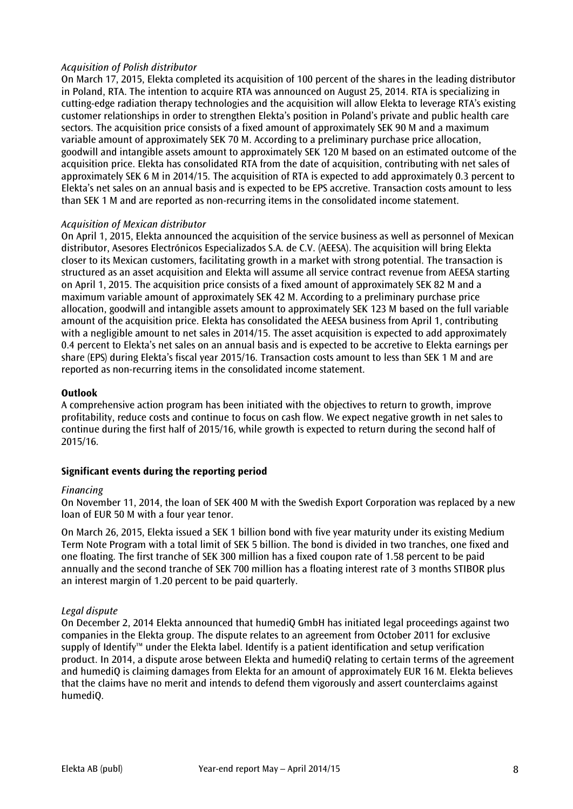# *Acquisition of Polish distributor*

On March 17, 2015, Elekta completed its acquisition of 100 percent of the shares in the leading distributor in Poland, RTA. The intention to acquire RTA was [announced on August 25, 2014.](http://www.elekta.com/pressreleases/916835/elekta-announces-intention-to-acquire-rta-a-leading-distributor-in-poland.html) RTA is specializing in cutting-edge radiation therapy technologies and the acquisition will allow Elekta to leverage RTA's existing customer relationships in order to strengthen Elekta's position in Poland's private and public health care sectors. The acquisition price consists of a fixed amount of approximately SEK 90 M and a maximum variable amount of approximately SEK 70 M. According to a preliminary purchase price allocation, goodwill and intangible assets amount to approximately SEK 120 M based on an estimated outcome of the acquisition price. Elekta has consolidated RTA from the date of acquisition, contributing with net sales of approximately SEK 6 M in 2014/15. The acquisition of RTA is expected to add approximately 0.3 percent to Elekta's net sales on an annual basis and is expected to be EPS accretive. Transaction costs amount to less than SEK 1 M and are reported as non-recurring items in the consolidated income statement.

# *Acquisition of Mexican distributor*

On April 1, 2015, Elekta announced the acquisition of the service business as well as personnel of Mexican distributor, Asesores Electrónicos Especializados S.A. de C.V. (AEESA). The acquisition will bring Elekta closer to its Mexican customers, facilitating growth in a market with strong potential. The transaction is structured as an asset acquisition and Elekta will assume all service contract revenue from AEESA starting on April 1, 2015. The acquisition price consists of a fixed amount of approximately SEK 82 M and a maximum variable amount of approximately SEK 42 M. According to a preliminary purchase price allocation, goodwill and intangible assets amount to approximately SEK 123 M based on the full variable amount of the acquisition price. Elekta has consolidated the AEESA business from April 1, contributing with a negligible amount to net sales in 2014/15. The asset acquisition is expected to add approximately 0.4 percent to Elekta's net sales on an annual basis and is expected to be accretive to Elekta earnings per share (EPS) during Elekta's fiscal year 2015/16. Transaction costs amount to less than SEK 1 M and are reported as non-recurring items in the consolidated income statement.

#### **Outlook**

A comprehensive action program has been initiated with the objectives to return to growth, improve profitability, reduce costs and continue to focus on cash flow. We expect negative growth in net sales to continue during the first half of 2015/16, while growth is expected to return during the second half of 2015/16.

#### **Significant events during the reporting period**

#### *Financing*

On November 11, 2014, the loan of SEK 400 M with the Swedish Export Corporation was replaced by a new loan of EUR 50 M with a four year tenor.

On March 26, 2015, Elekta issued a SEK 1 billion bond with five year maturity under its existing Medium Term Note Program with a total limit of SEK 5 billion. The bond is divided in two tranches, one fixed and one floating. The first tranche of SEK 300 million has a fixed coupon rate of 1.58 percent to be paid annually and the second tranche of SEK 700 million has a floating interest rate of 3 months STIBOR plus an interest margin of 1.20 percent to be paid quarterly.

#### *Legal dispute*

On December 2, 2014 Elekta announced that humediQ GmbH has initiated legal proceedings against two companies in the Elekta group. The dispute relates to an agreement from October 2011 for exclusive supply of Identify™ under the Elekta label. Identify is a patient identification and setup verification product. In 2014, a dispute arose between Elekta and humediQ relating to certain terms of the agreement and humediQ is claiming damages from Elekta for an amount of approximately EUR 16 M. Elekta believes that the claims have no merit and intends to defend them vigorously and assert counterclaims against humediQ.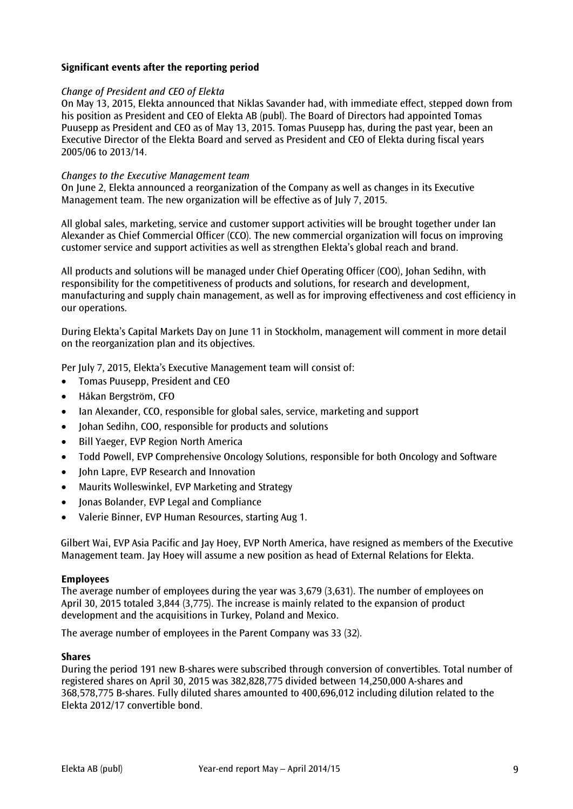# **Significant events after the reporting period**

#### *Change of President and CEO of Elekta*

On May 13, 2015, Elekta announced that Niklas Savander had, with immediate effect, stepped down from his position as President and CEO of Elekta AB (publ). The Board of Directors had appointed Tomas Puusepp as President and CEO as of May 13, 2015. Tomas Puusepp has, during the past year, been an Executive Director of the Elekta Board and served as President and CEO of Elekta during fiscal years 2005/06 to 2013/14.

#### *Changes to the Executive Management team*

On June 2, Elekta announced a reorganization of the Company as well as changes in its Executive Management team. The new organization will be effective as of July 7, 2015.

All global sales, marketing, service and customer support activities will be brought together under Ian Alexander as Chief Commercial Officer (CCO). The new commercial organization will focus on improving customer service and support activities as well as strengthen Elekta's global reach and brand.

All products and solutions will be managed under Chief Operating Officer (COO), Johan Sedihn, with responsibility for the competitiveness of products and solutions, for research and development, manufacturing and supply chain management, as well as for improving effectiveness and cost efficiency in our operations.

During Elekta's Capital Markets Day on June 11 in Stockholm, management will comment in more detail on the reorganization plan and its objectives.

Per July 7, 2015, Elekta's Executive Management team will consist of:

- Tomas Puusepp, President and CEO
- Håkan Bergström, CFO
- Ian Alexander, CCO, responsible for global sales, service, marketing and support
- Iohan Sedihn, COO, responsible for products and solutions
- Bill Yaeger, EVP Region North America
- Todd Powell, EVP Comprehensive Oncology Solutions, responsible for both Oncology and Software
- John Lapre, EVP Research and Innovation
- Maurits Wolleswinkel, EVP Marketing and Strategy
- Jonas Bolander, EVP Legal and Compliance
- Valerie Binner, EVP Human Resources, starting Aug 1.

Gilbert Wai, EVP Asia Pacific and Jay Hoey, EVP North America, have resigned as members of the Executive Management team. Jay Hoey will assume a new position as head of External Relations for Elekta.

#### **Employees**

The average number of employees during the year was 3,679 (3,631). The number of employees on April 30, 2015 totaled 3,844 (3,775). The increase is mainly related to the expansion of product development and the acquisitions in Turkey, Poland and Mexico.

The average number of employees in the Parent Company was 33 (32).

#### **Shares**

During the period 191 new B-shares were subscribed through conversion of convertibles. Total number of registered shares on April 30, 2015 was 382,828,775 divided between 14,250,000 A-shares and 368,578,775 B-shares. Fully diluted shares amounted to 400,696,012 including dilution related to the Elekta 2012/17 convertible bond.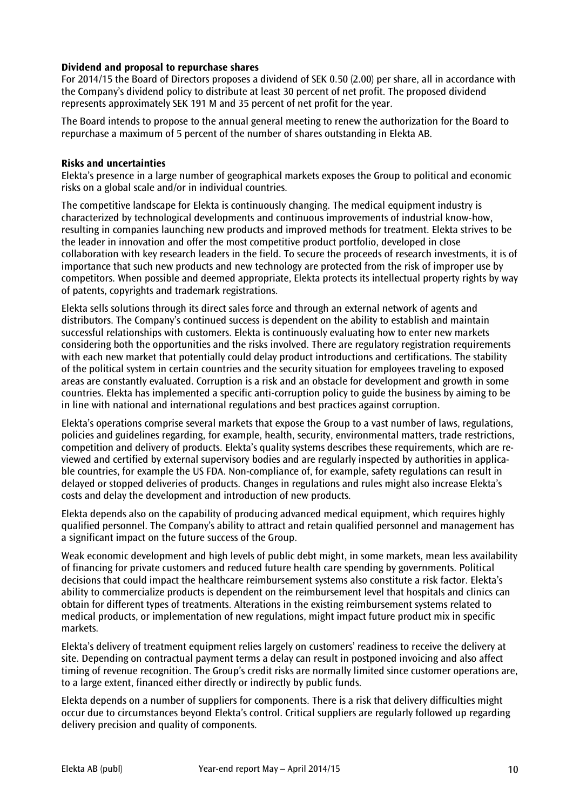# **Dividend and proposal to repurchase shares**

For 2014/15 the Board of Directors proposes a dividend of SEK 0.50 (2.00) per share, all in accordance with the Company's dividend policy to distribute at least 30 percent of net profit. The proposed dividend represents approximately SEK 191 M and 35 percent of net profit for the year.

The Board intends to propose to the annual general meeting to renew the authorization for the Board to repurchase a maximum of 5 percent of the number of shares outstanding in Elekta AB.

#### **Risks and uncertainties**

Elekta's presence in a large number of geographical markets exposes the Group to political and economic risks on a global scale and/or in individual countries.

The competitive landscape for Elekta is continuously changing. The medical equipment industry is characterized by technological developments and continuous improvements of industrial know-how, resulting in companies launching new products and improved methods for treatment. Elekta strives to be the leader in innovation and offer the most competitive product portfolio, developed in close collaboration with key research leaders in the field. To secure the proceeds of research investments, it is of importance that such new products and new technology are protected from the risk of improper use by competitors. When possible and deemed appropriate, Elekta protects its intellectual property rights by way of patents, copyrights and trademark registrations.

Elekta sells solutions through its direct sales force and through an external network of agents and distributors. The Company's continued success is dependent on the ability to establish and maintain successful relationships with customers. Elekta is continuously evaluating how to enter new markets considering both the opportunities and the risks involved. There are regulatory registration requirements with each new market that potentially could delay product introductions and certifications. The stability of the political system in certain countries and the security situation for employees traveling to exposed areas are constantly evaluated. Corruption is a risk and an obstacle for development and growth in some countries. Elekta has implemented a specific anti-corruption policy to guide the business by aiming to be in line with national and international regulations and best practices against corruption.

Elekta's operations comprise several markets that expose the Group to a vast number of laws, regulations, policies and guidelines regarding, for example, health, security, environmental matters, trade restrictions, competition and delivery of products. Elekta's quality systems describes these requirements, which are reviewed and certified by external supervisory bodies and are regularly inspected by authorities in applicable countries, for example the US FDA. Non-compliance of, for example, safety regulations can result in delayed or stopped deliveries of products. Changes in regulations and rules might also increase Elekta's costs and delay the development and introduction of new products.

Elekta depends also on the capability of producing advanced medical equipment, which requires highly qualified personnel. The Company's ability to attract and retain qualified personnel and management has a significant impact on the future success of the Group.

Weak economic development and high levels of public debt might, in some markets, mean less availability of financing for private customers and reduced future health care spending by governments. Political decisions that could impact the healthcare reimbursement systems also constitute a risk factor. Elekta's ability to commercialize products is dependent on the reimbursement level that hospitals and clinics can obtain for different types of treatments. Alterations in the existing reimbursement systems related to medical products, or implementation of new regulations, might impact future product mix in specific markets.

Elekta's delivery of treatment equipment relies largely on customers' readiness to receive the delivery at site. Depending on contractual payment terms a delay can result in postponed invoicing and also affect timing of revenue recognition. The Group's credit risks are normally limited since customer operations are, to a large extent, financed either directly or indirectly by public funds.

Elekta depends on a number of suppliers for components. There is a risk that delivery difficulties might occur due to circumstances beyond Elekta's control. Critical suppliers are regularly followed up regarding delivery precision and quality of components.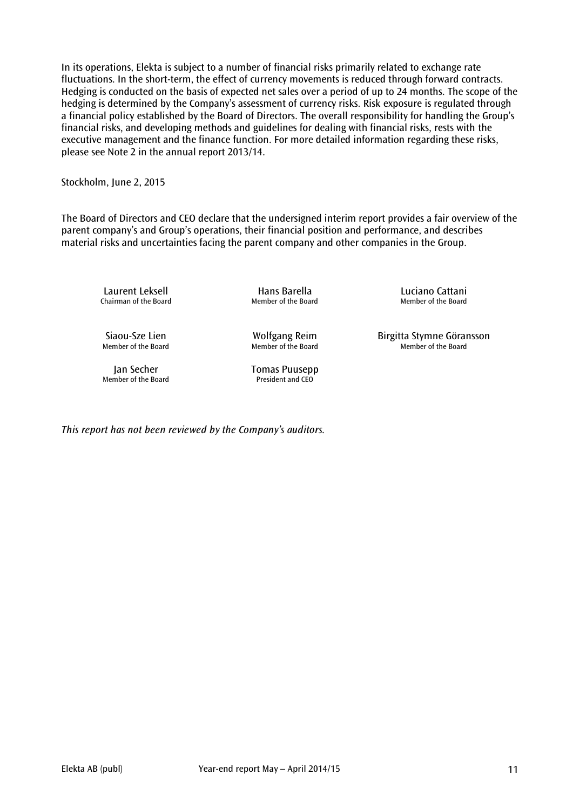In its operations, Elekta is subject to a number of financial risks primarily related to exchange rate fluctuations. In the short-term, the effect of currency movements is reduced through forward contracts. Hedging is conducted on the basis of expected net sales over a period of up to 24 months. The scope of the hedging is determined by the Company's assessment of currency risks. Risk exposure is regulated through a financial policy established by the Board of Directors. The overall responsibility for handling the Group's financial risks, and developing methods and guidelines for dealing with financial risks, rests with the executive management and the finance function. For more detailed information regarding these risks, please see Note 2 in the annual report 2013/14.

Stockholm, June 2, 2015

The Board of Directors and CEO declare that the undersigned interim report provides a fair overview of the parent company's and Group's operations, their financial position and performance, and describes material risks and uncertainties facing the parent company and other companies in the Group.

Laurent Leksell **Hans Barella** Hans Luciano Cattani<br>Chairman of the Board Member of the Board Member of the Board

Member of the Board

Siaou-Sze Lien Wolfgang Reim Birgitta Stymne Göransson

Member of the Board President and CEO

Member of the Board

Jan Secher Tomas Puusepp

*This report has not been reviewed by the Company's auditors.*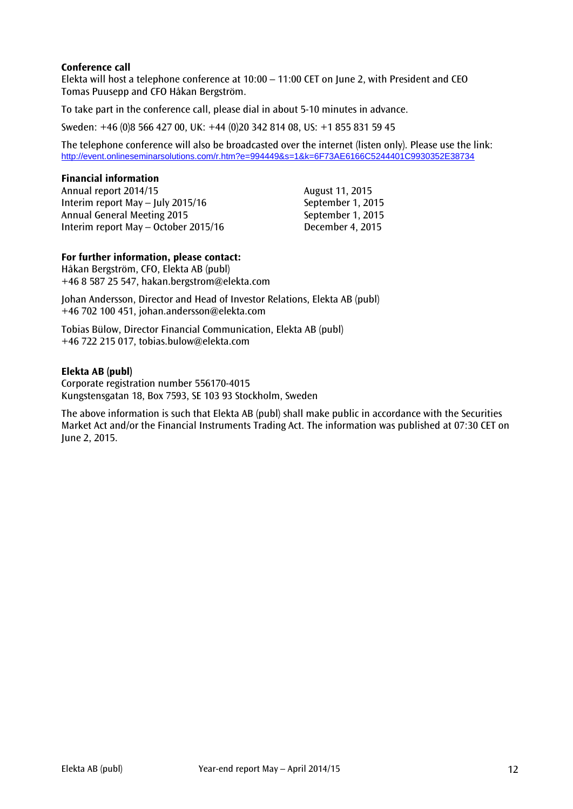# **Conference call**

Elekta will host a telephone conference at 10:00 – 11:00 CET on June 2, with President and CEO Tomas Puusepp and CFO Håkan Bergström.

To take part in the conference call, please dial in about 5-10 minutes in advance.

Sweden: +46 (0)8 566 427 00, UK: +44 (0)20 342 814 08, US: +1 855 831 59 45

The telephone conference will also be broadcasted over the internet (listen only). Please use the link: <http://event.onlineseminarsolutions.com/r.htm?e=994449&s=1&k=6F73AE6166C5244401C9930352E38734>

#### **Financial information**

Annual report 2014/15 Annual report 2014/15 Interim report May – July 2015/16 September 1, 2015 Annual General Meeting 2015 September 1, 2015 Interim report May – October 2015/16 December 4, 2015

# **For further information, please contact:**

Håkan Bergström, CFO, Elekta AB (publ) +46 8 587 25 547, hakan.bergstrom@elekta.com

Johan Andersson, Director and Head of Investor Relations, Elekta AB (publ) +46 702 100 451, johan.andersson@elekta.com

Tobias Bülow, Director Financial Communication, Elekta AB (publ) +46 722 215 017, tobias.bulow@elekta.com

#### **Elekta AB (publ)**

Corporate registration number 556170-4015 Kungstensgatan 18, Box 7593, SE 103 93 Stockholm, Sweden

The above information is such that Elekta AB (publ) shall make public in accordance with the Securities Market Act and/or the Financial Instruments Trading Act. The information was published at 07:30 CET on June 2, 2015.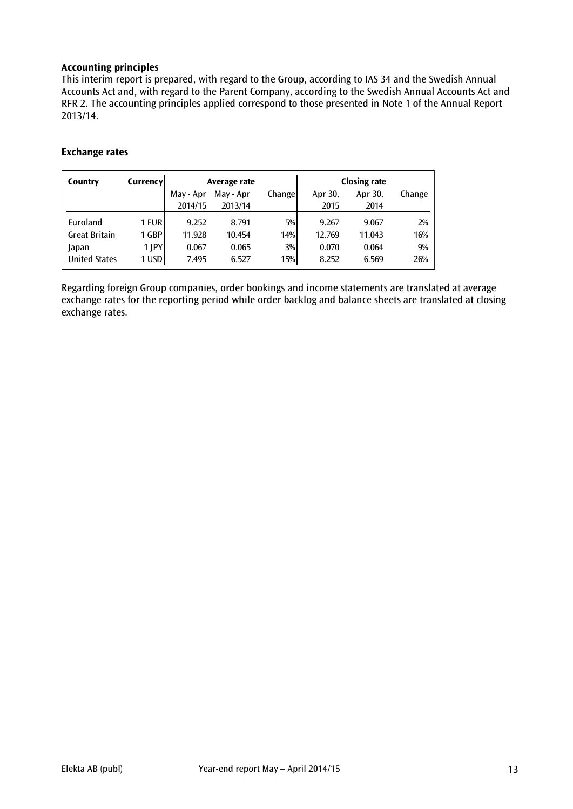# **Accounting principles**

This interim report is prepared, with regard to the Group, according to IAS 34 and the Swedish Annual Accounts Act and, with regard to the Parent Company, according to the Swedish Annual Accounts Act and RFR 2. The accounting principles applied correspond to those presented in Note 1 of the Annual Report 2013/14.

# **Exchange rates**

| Country              | Currencyl | Average rate |           |        |         | <b>Closing rate</b> |        |
|----------------------|-----------|--------------|-----------|--------|---------|---------------------|--------|
|                      |           | May - Apr    | May - Apr | Change | Apr 30, | Apr 30,             | Change |
|                      |           | 2014/15      | 2013/14   |        | 2015    | 2014                |        |
| Euroland             | 1 EUR     | 9.252        | 8.791     | 5%     | 9.267   | 9.067               | 2%     |
| <b>Great Britain</b> | 1 GBP l   | 11.928       | 10.454    | 14%    | 12.769  | 11.043              | 16%    |
| Japan                | 1 JPY     | 0.067        | 0.065     | 3%     | 0.070   | 0.064               | 9%     |
| United States        | 1 USD     | 7.495        | 6.527     | 15%    | 8.252   | 6.569               | 26%    |

Regarding foreign Group companies, order bookings and income statements are translated at average exchange rates for the reporting period while order backlog and balance sheets are translated at closing exchange rates.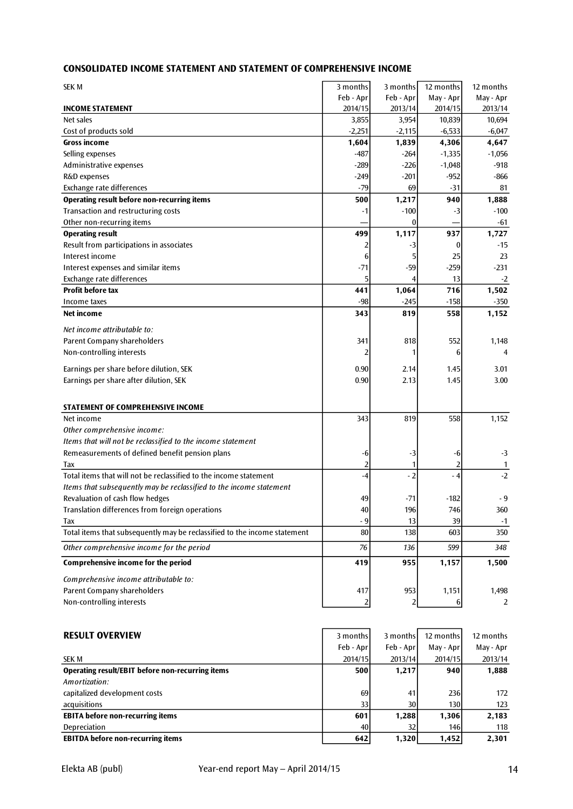# **CONSOLIDATED INCOME STATEMENT AND STATEMENT OF COMPREHENSIVE INCOME**

| <b>SEK M</b>                                                              | 3 months  | 3 months         | 12 months | 12 months               |
|---------------------------------------------------------------------------|-----------|------------------|-----------|-------------------------|
|                                                                           | Feb - Apr | Feb - Apr        | May - Apr | May - Apr               |
| <b>INCOME STATEMENT</b>                                                   | 2014/15   | 2013/14          | 2014/15   | 2013/14                 |
| Net sales                                                                 | 3,855     | 3,954            | 10,839    | 10,694                  |
| Cost of products sold                                                     | $-2,251$  | $-2,115$         | $-6,533$  | $-6,047$                |
| <b>Gross income</b>                                                       | 1,604     | 1,839            | 4,306     | 4,647                   |
| Selling expenses                                                          | $-487$    | $-264$           | $-1,335$  | $-1,056$                |
| Administrative expenses                                                   | $-289$    | $-226$           | $-1,048$  | $-918$                  |
| R&D expenses                                                              | $-249$    | $-201$           | $-952$    | -866                    |
| Exchange rate differences                                                 | $-79$     | 69               | $-31$     | 81                      |
| <b>Operating result before non-recurring items</b>                        | 500       | 1,217            | 940       | 1,888                   |
| Transaction and restructuring costs                                       | $-1$      | $-100$           | -3        | $-100$                  |
| Other non-recurring items                                                 |           | $\boldsymbol{0}$ |           | $-61$                   |
| <b>Operating result</b>                                                   | 499       | 1,117            | 937       | 1,727                   |
| Result from participations in associates                                  |           | -3               | 0         | $-15$                   |
| Interest income                                                           | 6         | 5                | 25        | 23                      |
| Interest expenses and similar items                                       | $-71$     | $-59$            | $-259$    | $-231$                  |
| Exchange rate differences                                                 | 5         |                  | 13        | $-2$                    |
| <b>Profit before tax</b>                                                  | 441       | 1,064            | 716       | 1,502                   |
| Income taxes                                                              | $-98$     | $-245$           | $-158$    | $-350$                  |
| Net income                                                                | 343       | 819              | 558       | 1,152                   |
| Net income attributable to:                                               |           |                  |           |                         |
|                                                                           |           |                  |           |                         |
| Parent Company shareholders<br>Non-controlling interests                  | 341       | 818              | 552       | 1,148<br>$\overline{4}$ |
|                                                                           | 2         |                  | 6         |                         |
| Earnings per share before dilution, SEK                                   | 0.90      | 2.14             | 1.45      | 3.01                    |
| Earnings per share after dilution, SEK                                    | 0.90      | 2.13             | 1.45      | 3.00                    |
|                                                                           |           |                  |           |                         |
| STATEMENT OF COMPREHENSIVE INCOME                                         |           |                  |           |                         |
| Net income                                                                | 343       | 819              | 558       | 1,152                   |
| Other comprehensive income:                                               |           |                  |           |                         |
| Items that will not be reclassified to the income statement               |           |                  |           |                         |
| Remeasurements of defined benefit pension plans                           | -6        | -3               | -6        | $-3$                    |
| Tax                                                                       |           |                  |           |                         |
| Total items that will not be reclassified to the income statement         | $-4$      | $-2$             | - 4       | -2                      |
| Items that subsequently may be reclassified to the income statement       |           |                  |           |                         |
| Revaluation of cash flow hedges                                           | 49        | -71              | $-182$    | - 9                     |
| Translation differences from foreign operations                           | 40        | 196              | 746       | 360                     |
| Tax                                                                       | $-9$      | 13               | 39        | $-1$                    |
| Total items that subsequently may be reclassified to the income statement | 80        | 138              | 603       | 350                     |
| Other comprehensive income for the period                                 | 76        | 136              | 599       | 348                     |
| <b>Comprehensive income for the period</b>                                | 419       | 955              | 1,157     | 1,500                   |
| Comprehensive income attributable to:                                     |           |                  |           |                         |
| Parent Company shareholders                                               | 417       | 953              | 1,151     | 1,498                   |
| Non-controlling interests                                                 | 2         |                  | 6         | $\overline{2}$          |
|                                                                           |           |                  |           |                         |
|                                                                           |           |                  |           |                         |
| <b>RESULT OVERVIEW</b>                                                    | 3 months  | 3 months         | 12 months | 12 months               |
|                                                                           | Feb - Apr | Feb - Apr        | May - Apr | May - Apr               |
| SEK M                                                                     | 2014/15   | 2013/14          | 2014/15   | 2013/14                 |
| <b>Operating result/EBIT before non-recurring items</b>                   | 500       | 1,217            | 940       | 1,888                   |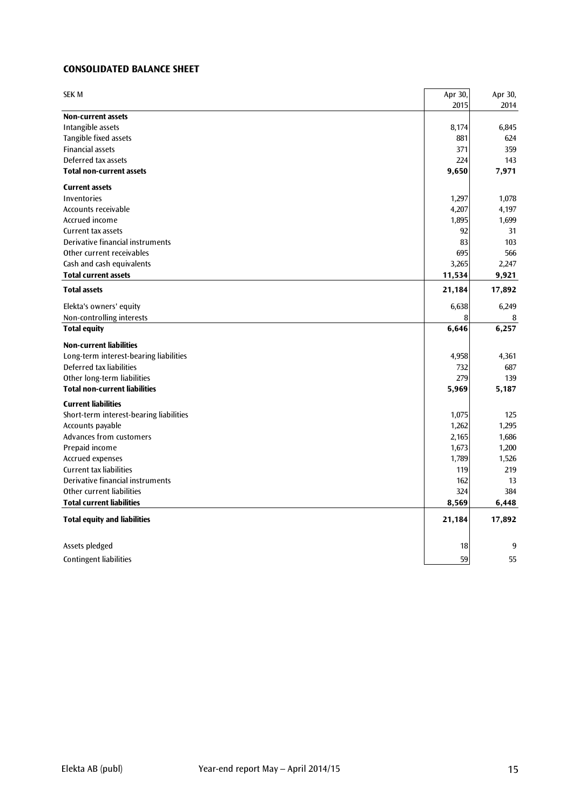# **CONSOLIDATED BALANCE SHEET**

| <b>SEK M</b>                            | Apr 30,<br>2015 | Apr 30,<br>2014 |
|-----------------------------------------|-----------------|-----------------|
| <b>Non-current assets</b>               |                 |                 |
| Intangible assets                       | 8,174           | 6,845           |
| Tangible fixed assets                   | 881             | 624             |
| <b>Financial assets</b>                 | 371             | 359             |
| Deferred tax assets                     | 224             | 143             |
| <b>Total non-current assets</b>         | 9,650           | 7,971           |
| <b>Current assets</b>                   |                 |                 |
| Inventories                             | 1,297           | 1,078           |
| Accounts receivable                     | 4,207           | 4,197           |
| Accrued income                          | 1,895           | 1,699           |
| <b>Current tax assets</b>               | 92              | 31              |
| Derivative financial instruments        | 83              | 103             |
| Other current receivables               | 695             | 566             |
| Cash and cash equivalents               | 3,265           | 2,247           |
| <b>Total current assets</b>             | 11,534          | 9,921           |
| <b>Total assets</b>                     | 21,184          | 17,892          |
| Elekta's owners' equity                 | 6,638           | 6,249           |
| Non-controlling interests               | 8               | 8               |
| <b>Total equity</b>                     | 6,646           | 6,257           |
| <b>Non-current liabilities</b>          |                 |                 |
| Long-term interest-bearing liabilities  | 4,958           | 4,361           |
| Deferred tax liabilities                | 732             | 687             |
| Other long-term liabilities             | 279             | 139             |
| <b>Total non-current liabilities</b>    | 5,969           | 5,187           |
| <b>Current liabilities</b>              |                 |                 |
| Short-term interest-bearing liabilities | 1,075           | 125             |
| Accounts payable                        | 1,262           | 1,295           |
| Advances from customers                 | 2,165           | 1,686           |
| Prepaid income                          | 1,673           | 1,200           |
| Accrued expenses                        | 1,789           | 1,526           |
| <b>Current tax liabilities</b>          | 119             | 219             |
| Derivative financial instruments        | 162             | 13              |
| Other current liabilities               | 324             | 384             |
| <b>Total current liabilities</b>        | 8,569           | 6,448           |
| <b>Total equity and liabilities</b>     | 21,184          | 17,892          |
| Assets pledged                          | 18              | 9               |
| <b>Contingent liabilities</b>           | 59              | 55              |
|                                         |                 |                 |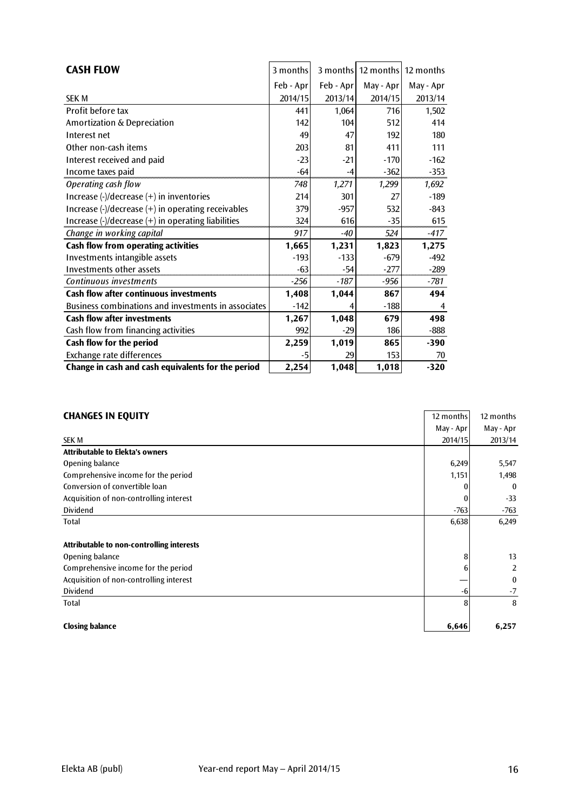| <b>CASH FLOW</b>                                    | 3 months  | 3 months  | 12 months 12 months |           |
|-----------------------------------------------------|-----------|-----------|---------------------|-----------|
|                                                     | Feb - Apr | Feb - Apr | May - Apr           | May - Apr |
| <b>SEK M</b>                                        | 2014/15   | 2013/14   | 2014/15             | 2013/14   |
| Profit before tax                                   | 441       | 1,064     | 716                 | 1,502     |
| Amortization & Depreciation                         | 142       | 104       | 512                 | 414       |
| Interest net                                        | 49        | 47        | 192                 | 180       |
| Other non-cash items                                | 203       | 81        | 411                 | 111       |
| Interest received and paid                          | $-23$     | $-21$     | $-170$              | $-162$    |
| Income taxes paid                                   | $-64$     | $-4$      | $-362$              | $-353$    |
| Operating cash flow                                 | 748       | 1,271     | 1,299               | 1,692     |
| Increase (-)/decrease (+) in inventories            | 214       | 301       | 27                  | $-189$    |
| Increase (-)/decrease (+) in operating receivables  | 379       | $-957$    | 532                 | $-843$    |
| Increase (-)/decrease (+) in operating liabilities  | 324       | 616       | $-35$               | 615       |
| Change in working capital                           | 917       | $-40$     | 524                 | $-417$    |
| <b>Cash flow from operating activities</b>          | 1,665     | 1,231     | 1,823               | 1,275     |
| Investments intangible assets                       | $-193$    | $-133$    | $-679$              | $-492$    |
| Investments other assets                            | -63       | $-54$     | $-277$              | $-289$    |
| Continuous investments                              | $-256$    | $-187$    | $-956$              | -781      |
| <b>Cash flow after continuous investments</b>       | 1,408     | 1,044     | 867                 | 494       |
| Business combinations and investments in associates | $-142$    |           | $-188$              | 4         |
| <b>Cash flow after investments</b>                  | 1,267     | 1,048     | 679                 | 498       |
| Cash flow from financing activities                 | 992       | $-29$     | 186                 | $-888$    |
| Cash flow for the period                            | 2,259     | 1,019     | 865                 | $-390$    |
| Exchange rate differences                           | -5        | 29        | 153                 | 70        |
| Change in cash and cash equivalents for the period  | 2,254     | 1,048     | 1,018               | $-320$    |

# **CHANGES IN EQUITY** 12 months 12 months 12 months 12 months

| CHARGES IN EVOILL                         | נוווויטוווי בו | 14 111 VIII 113 |
|-------------------------------------------|----------------|-----------------|
|                                           | May - Apr      | May - Apr       |
| <b>SEK M</b>                              | 2014/15        | 2013/14         |
| <b>Attributable to Elekta's owners</b>    |                |                 |
| Opening balance                           | 6,249          | 5,547           |
| Comprehensive income for the period       | 1,151          | 1,498           |
| Conversion of convertible loan            |                | $\mathbf{0}$    |
| Acquisition of non-controlling interest   |                | $-33$           |
| <b>Dividend</b>                           | $-763$         | $-763$          |
| Total                                     | 6,638          | 6,249           |
|                                           |                |                 |
| Attributable to non-controlling interests |                |                 |
| Opening balance                           | 8              | 13              |
| Comprehensive income for the period       | 6              | 2               |
| Acquisition of non-controlling interest   |                | $\bf{0}$        |
| <b>Dividend</b>                           | -6             | $-7$            |
| Total                                     | 8              | 8               |
|                                           |                |                 |
| <b>Closing balance</b>                    | 6,646          | 6,257           |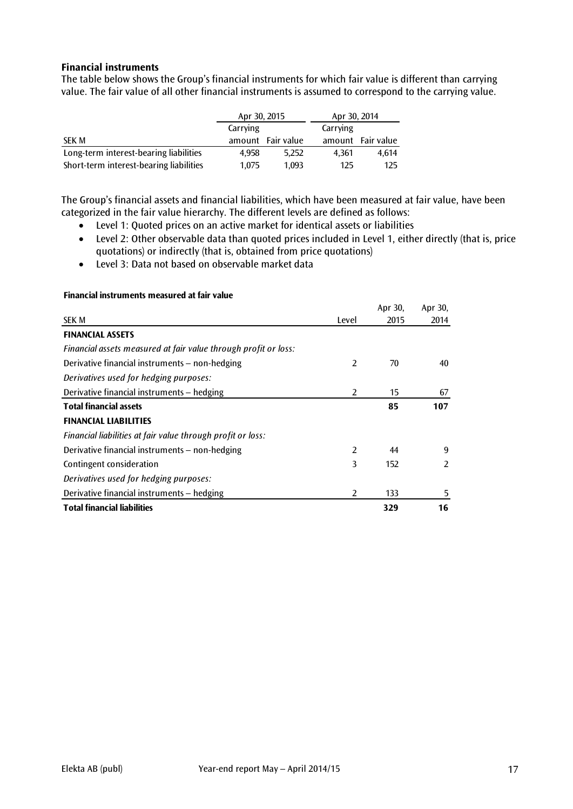# **Financial instruments**

The table below shows the Group's financial instruments for which fair value is different than carrying value. The fair value of all other financial instruments is assumed to correspond to the carrying value.

|                                         | Apr 30, 2015 |                   | Apr 30, 2014 |                   |
|-----------------------------------------|--------------|-------------------|--------------|-------------------|
|                                         | Carrying     |                   | Carrying     |                   |
| <b>SEK M</b>                            |              | amount Fair value |              | amount Fair value |
| Long-term interest-bearing liabilities  | 4.958        | 5.252             | 4.361        | 4.614             |
| Short-term interest-bearing liabilities | 1.075        | 1.093             | 125          | 125               |

The Group's financial assets and financial liabilities, which have been measured at fair value, have been categorized in the fair value hierarchy. The different levels are defined as follows:

- Level 1: Quoted prices on an active market for identical assets or liabilities
- Level 2: Other observable data than quoted prices included in Level 1, either directly (that is, price quotations) or indirectly (that is, obtained from price quotations)
- Level 3: Data not based on observable market data

|                                                                 |                | Apr 30, | Apr 30, |
|-----------------------------------------------------------------|----------------|---------|---------|
| <b>SEK M</b>                                                    | Level          | 2015    | 2014    |
| <b>FINANCIAL ASSETS</b>                                         |                |         |         |
| Financial assets measured at fair value through profit or loss: |                |         |         |
| Derivative financial instruments - non-hedging                  | $\overline{2}$ | 70      | 40      |
| Derivatives used for hedging purposes:                          |                |         |         |
| Derivative financial instruments - hedging                      | 2              | 15      | 67      |
| <b>Total financial assets</b>                                   |                | 85      | 107     |
| <b>FINANCIAL LIABILITIES</b>                                    |                |         |         |
| Financial liabilities at fair value through profit or loss:     |                |         |         |
| Derivative financial instruments - non-hedging                  | $\overline{2}$ | 44      | 9       |
| Contingent consideration                                        | 3              | 152     | 2       |
| Derivatives used for hedging purposes:                          |                |         |         |
| Derivative financial instruments – hedging                      | $\overline{2}$ | 133     | 5       |
| <b>Total financial liabilities</b>                              |                | 329     | 16      |

#### **Financial instruments measured at fair value**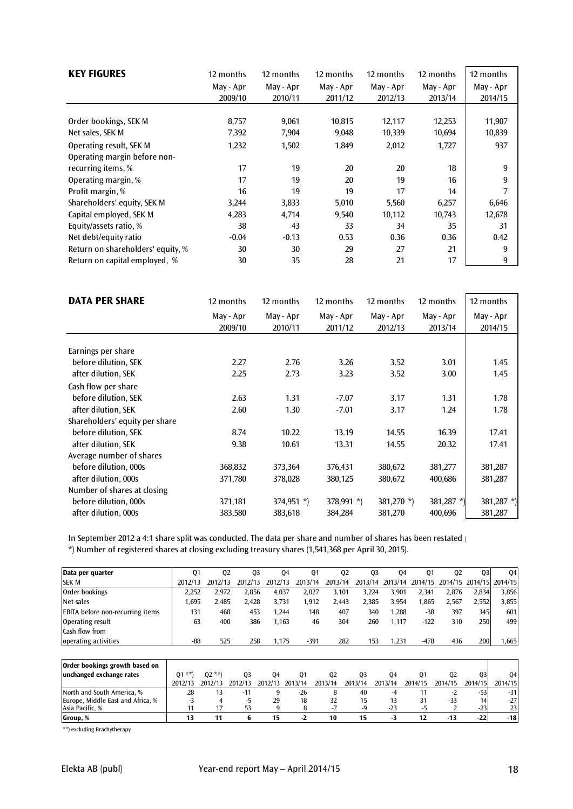| <b>KEY FIGURES</b>                | 12 months | 12 months | 12 months | 12 months | 12 months | 12 months |
|-----------------------------------|-----------|-----------|-----------|-----------|-----------|-----------|
|                                   | May - Apr | May - Apr | May - Apr | May - Apr | May - Apr | May - Apr |
|                                   | 2009/10   | 2010/11   | 2011/12   | 2012/13   | 2013/14   | 2014/15   |
|                                   |           |           |           |           |           |           |
| Order bookings, SEK M             | 8,757     | 9,061     | 10,815    | 12,117    | 12,253    | 11,907    |
| Net sales, SEK M                  | 7,392     | 7,904     | 9,048     | 10,339    | 10,694    | 10,839    |
| Operating result, SEK M           | 1,232     | 1,502     | 1,849     | 2,012     | 1,727     | 937       |
| Operating margin before non-      |           |           |           |           |           |           |
| recurring items, %                | 17        | 19        | 20        | 20        | 18        | 9         |
| Operating margin, %               | 17        | 19        | 20        | 19        | 16        | 9         |
| Profit margin, %                  | 16        | 19        | 19        | 17        | 14        |           |
| Shareholders' equity, SEK M       | 3,244     | 3,833     | 5,010     | 5,560     | 6,257     | 6,646     |
| Capital employed, SEK M           | 4,283     | 4,714     | 9,540     | 10,112    | 10,743    | 12,678    |
| Equity/assets ratio, %            | 38        | 43        | 33        | 34        | 35        | 31        |
| Net debt/equity ratio             | $-0.04$   | $-0.13$   | 0.53      | 0.36      | 0.36      | 0.42      |
| Return on shareholders' equity, % | 30        | 30        | 29        | 27        | 21        | 9         |
| Return on capital employed, %     | 30        | 35        | 28        | 21        | 17        | 9         |

| <b>DATA PER SHARE</b>          | 12 months | 12 months    | 12 months    | 12 months     | 12 months  | 12 months     |
|--------------------------------|-----------|--------------|--------------|---------------|------------|---------------|
|                                | May - Apr | May - Apr    | May - Apr    | May - Apr     | May - Apr  | May - Apr     |
|                                | 2009/10   | 2010/11      | 2011/12      | 2012/13       | 2013/14    | 2014/15       |
|                                |           |              |              |               |            |               |
| Earnings per share             |           |              |              |               |            |               |
| before dilution, SEK           | 2.27      | 2.76         | 3.26         | 3.52          | 3.01       | 1.45          |
| after dilution, SEK            | 2.25      | 2.73         | 3.23         | 3.52          | 3.00       | 1.45          |
| Cash flow per share            |           |              |              |               |            |               |
| before dilution, SEK           | 2.63      | 1.31         | $-7.07$      | 3.17          | 1.31       | 1.78          |
| after dilution. SEK            | 2.60      | 1.30         | $-7.01$      | 3.17          | 1.24       | 1.78          |
| Shareholders' equity per share |           |              |              |               |            |               |
| before dilution, SEK           | 8.74      | 10.22        | 13.19        | 14.55         | 16.39      | 17.41         |
| after dilution, SEK            | 9.38      | 10.61        | 13.31        | 14.55         | 20.32      | 17.41         |
| Average number of shares       |           |              |              |               |            |               |
| before dilution, 000s          | 368,832   | 373,364      | 376,431      | 380,672       | 381,277    | 381,287       |
| after dilution, 000s           | 371,780   | 378,028      | 380,125      | 380,672       | 400,686    | 381,287       |
| Number of shares at closing    |           |              |              |               |            |               |
| before dilution, 000s          | 371,181   | $374,951$ *) | $378,991$ *) | 381,270 $*$ ) | 381,287 *) | 381,287 $*$ ) |
| after dilution, 000s           | 383,580   | 383,618      | 384,284      | 381,270       | 400,696    | 381,287       |

In September 2012 a 4:1 share split was conducted. The data per share and number of shares has been restated  $\parallel$ 

\*) Number of registered shares at closing excluding treasury shares (1,541,368 per April 30, 2015).

| Data per quarter                        | 01      | 02      | 03      | 04      | 01      | 02      | 03    | 04    | 01                                              | 02    | 03    | 04    |
|-----------------------------------------|---------|---------|---------|---------|---------|---------|-------|-------|-------------------------------------------------|-------|-------|-------|
| <b>SEK M</b>                            | 2012/13 | 2012/13 | 2012/13 | 2012/13 | 2013/14 | 2013/14 |       |       | 2013/14 2013/14 2014/15 2014/15 2014/15 2014/15 |       |       |       |
| Order bookings                          | 2.252   | 2.972   | 2.856   | 4.037   | 2.027   | 3,101   | 3,224 | 3,901 | 2,341                                           | 2.876 | 2,834 | 3,856 |
| Net sales                               | .695    | 2.485   | 2.428   | 3.731   | 1,912   | 2,443   | 2,385 | 3,954 | 865, ا                                          | 2.567 | 2.552 | 3,855 |
| <b>EBITA</b> before non-recurring items | 131     | 468     | 453     | 1.244   | 148     | 407     | 340   | 1.288 | $-38$                                           | 397   | 345   | 601   |
| Operating result                        | 63      | 400     | 386     | 1.163   | 46      | 304     | 260   | 1.117 | $-122$                                          | 310   | 2501  | 499   |
| Cash flow from                          |         |         |         |         |         |         |       |       |                                                 |       |       |       |
| operating activities                    | -88     | 525     | 258     | 1.175   | $-391$  | 282     | 153   | 1.231 | $-478$                                          | 436   | 200   | .665  |

| Order bookings growth based on    |         |         |         |         |         |         |         |         |         |         |         |         |
|-----------------------------------|---------|---------|---------|---------|---------|---------|---------|---------|---------|---------|---------|---------|
| unchanged exchange rates          | $01$ ** | $02$ ** | 03      | 04      | 01      | 02      | 03      | 04      | 01      | 02      | 03      | 04      |
|                                   | 2012/13 | 2012/13 | 2012/13 | 2012/13 | 2013/14 | 2013/14 | 2013/14 | 2013/14 | 2014/15 | 2014/15 | 2014/15 | 2014/15 |
| North and South America, %        | 28      |         | $-11$   |         | -26     |         | 40      | -4      |         | -z      | -531    | $-31$   |
| Europe, Middle East and Africa, % |         |         | -ካ      | 29      | 18      | 32      | 15      | 13      |         | -33     |         | $-27$   |
| Asia Pacific. %                   |         |         | 53      |         |         |         | -9      | $-23$   |         |         | $-23$   | 23      |
| Group, %                          |         |         |         |         | - '     | 10      | 15      | -1      |         | $-13$   | -22     | $-18$   |

\*\*) excluding Brachytherapy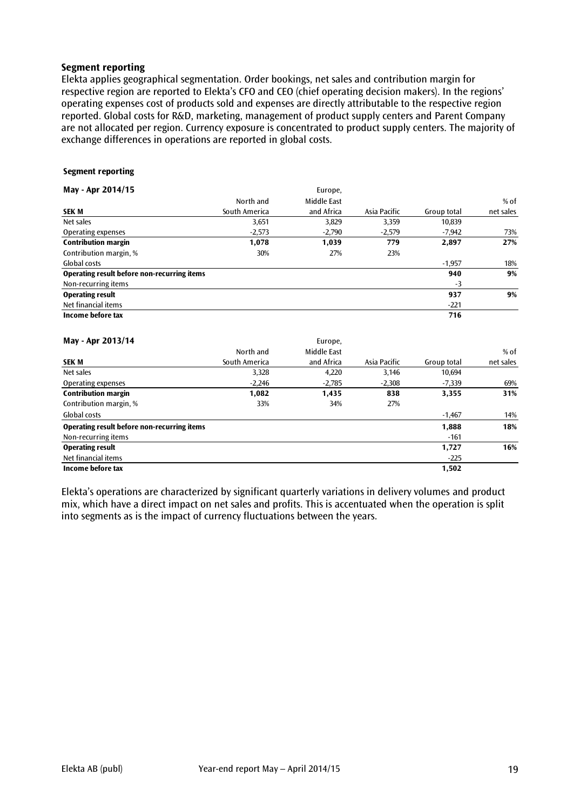#### **Segment reporting**

Elekta applies geographical segmentation. Order bookings, net sales and contribution margin for respective region are reported to Elekta's CFO and CEO (chief operating decision makers). In the regions' operating expenses cost of products sold and expenses are directly attributable to the respective region reported. Global costs for R&D, marketing, management of product supply centers and Parent Company are not allocated per region. Currency exposure is concentrated to product supply centers. The majority of exchange differences in operations are reported in global costs.

#### **Segment reporting**

| May - Apr 2014/15                           |               | Europe,     |              |             |           |
|---------------------------------------------|---------------|-------------|--------------|-------------|-----------|
|                                             | North and     | Middle East |              |             | $%$ of    |
| <b>SEK M</b>                                | South America | and Africa  | Asia Pacific | Group total | net sales |
| Net sales                                   | 3,651         | 3,829       | 3,359        | 10,839      |           |
| Operating expenses                          | $-2,573$      | $-2,790$    | $-2,579$     | $-7,942$    | 73%       |
| <b>Contribution margin</b>                  | 1,078         | 1,039       | 779          | 2,897       | 27%       |
| Contribution margin, %                      | 30%           | 27%         | 23%          |             |           |
| Global costs                                |               |             |              | $-1.957$    | 18%       |
| Operating result before non-recurring items |               |             |              | 940         | 9%        |
| Non-recurring items                         |               |             |              | $-3$        |           |
| <b>Operating result</b>                     |               |             |              | 937         | 9%        |
| Net financial items                         |               |             |              | $-221$      |           |
| Income before tax                           |               |             |              | 716         |           |

#### **May - Apr 2013/14** Europe, **Europe,** *Europe***,** *Europe***,** *Europe***,** *Europe***,** *Europe***,** *Europe***,** *Europe***,** *Europe***,** *Europe***,** *Europe***,** *Europe***,** *Europe***,** *Europe***,** *Europe***,** *Europe***,** *Europe***,** *Europe***,** *Europe***,** *Euro*

| דו וכו ט⊾ ועת ־ זוווו                       |               | Lui Upt,    |              |             |           |
|---------------------------------------------|---------------|-------------|--------------|-------------|-----------|
|                                             | North and     | Middle East |              |             | $%$ of    |
| <b>SEK M</b>                                | South America | and Africa  | Asia Pacific | Group total | net sales |
| Net sales                                   | 3,328         | 4,220       | 3,146        | 10.694      |           |
| Operating expenses                          | $-2,246$      | $-2,785$    | $-2,308$     | $-7,339$    | 69%       |
| <b>Contribution margin</b>                  | 1,082         | 1,435       | 838          | 3,355       | 31%       |
| Contribution margin, %                      | 33%           | 34%         | 27%          |             |           |
| Global costs                                |               |             |              | $-1.467$    | 14%       |
| Operating result before non-recurring items |               |             |              | 1,888       | 18%       |
| Non-recurring items                         |               |             |              | $-161$      |           |
| <b>Operating result</b>                     |               |             |              | 1,727       | 16%       |
| Net financial items                         |               |             |              | $-225$      |           |
| Income before tax                           |               |             |              | 1,502       |           |
|                                             |               |             |              |             |           |

Elekta's operations are characterized by significant quarterly variations in delivery volumes and product mix, which have a direct impact on net sales and profits. This is accentuated when the operation is split into segments as is the impact of currency fluctuations between the years.